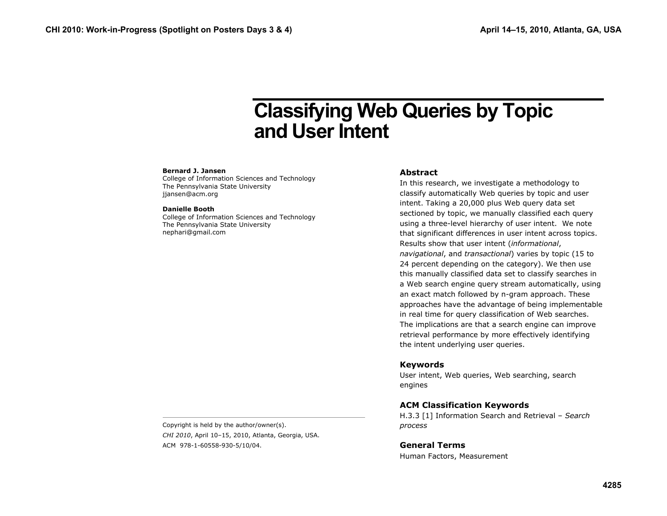# **Classifying Web Queries by Topic and User Intent**

#### **Bernard J. Jansen**

 College of Information Sciences and Technology The Pennsylvania State University jjansen@acm.org

#### **Danielle Booth**

College of Information Sciences and Technology The Pennsylvania State University nephari@gmail.com

#### **Abstract**

In this research, we investigate a methodology to classify automatically Web queries by topic and user intent. Taking a 20,000 plus Web query data set sectioned by topic, we manually classified each query using a three-level hierarchy of user intent. We note that significant differences in user intent across topics. Results show that user intent (*informational*, *navigational*, and *transactional*) varies by topic (15 to 24 percent depending on the category). We then use this manually classified data set to classify searches in a Web search engine query stream automatically, using an exact match followed by n-gram approach. These approaches have the advantage of being implementable in real time for query classification of Web searches. The implications are that a search engine can improve retrieval performance by more effectively identifying the intent underlying user queries.

#### **Keywords**

User intent, Web queries, Web searching, search engines

## **ACM Classification Keywords**

H.3.3 [1] Information Search and Retrieval – *Search process* 

#### **General Terms**

Human Factors, Measurement

Copyright is held by the author/owner(s). *CHI 2010*, April 10–15, 2010, Atlanta, Georgia, USA. ACM 978-1-60558-930-5/10/04.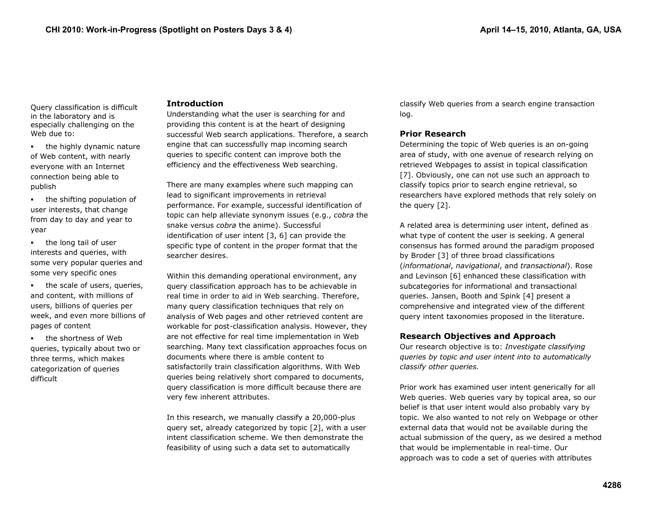Query classification is difficult in the laboratory and is especially challenging on the Web due to:

 the highly dynamic nature of Web content, with nearly everyone with an Internet connection being able to publish

 the shifting population of user interests, that change from day to day and year to year

• the long tail of user interests and queries, with some very popular queries and some very specific ones

**the scale of users, queries,** and content, with millions of users, billions of queries per week, and even more billions of pages of content

 the shortness of Web queries, typically about two or three terms, which makes categorization of queries difficult

## **Introduction**

Understanding what the user is searching for and providing this content is at the heart of designing successful Web search applications. Therefore, a search engine that can successfully map incoming search queries to specific content can improve both the efficiency and the effectiveness Web searching.

There are many examples where such mapping can lead to significant improvements in retrieval performance. For example, successful identification of topic can help alleviate synonym issues (e.g., *cobra* the snake versus *cobra* the anime). Successful identification of user intent [3, 6] can provide the specific type of content in the proper format that the searcher desires.

Within this demanding operational environment, any query classification approach has to be achievable in real time in order to aid in Web searching. Therefore, many query classification techniques that rely on analysis of Web pages and other retrieved content are workable for post-classification analysis. However, they are not effective for real time implementation in Web searching. Many text classification approaches focus on documents where there is amble content to satisfactorily train classification algorithms. With Web queries being relatively short compared to documents, query classification is more difficult because there are very few inherent attributes.

In this research, we manually classify a 20,000-plus query set, already categorized by topic [2], with a user intent classification scheme. We then demonstrate the feasibility of using such a data set to automatically

classify Web queries from a search engine transaction log.

## **Prior Research**

Determining the topic of Web queries is an on-going area of study, with one avenue of research relying on retrieved Webpages to assist in topical classification [7]. Obviously, one can not use such an approach to classify topics prior to search engine retrieval, so researchers have explored methods that rely solely on the query [2].

A related area is determining user intent, defined as what type of content the user is seeking. A general consensus has formed around the paradigm proposed by Broder [3] of three broad classifications (*informational*, *navigational*, and *transactional*). Rose and Levinson [6] enhanced these classification with subcategories for informational and transactional queries. Jansen, Booth and Spink [4] present a comprehensive and integrated view of the different query intent taxonomies proposed in the literature.

## **Research Objectives and Approach**

Our research objective is to: *Investigate classifying queries by topic and user intent into to automatically classify other queries.*

Prior work has examined user intent generically for all Web queries. Web queries vary by topical area, so our belief is that user intent would also probably vary by topic. We also wanted to not rely on Webpage or other external data that would not be available during the actual submission of the query, as we desired a method that would be implementable in real-time. Our approach was to code a set of queries with attributes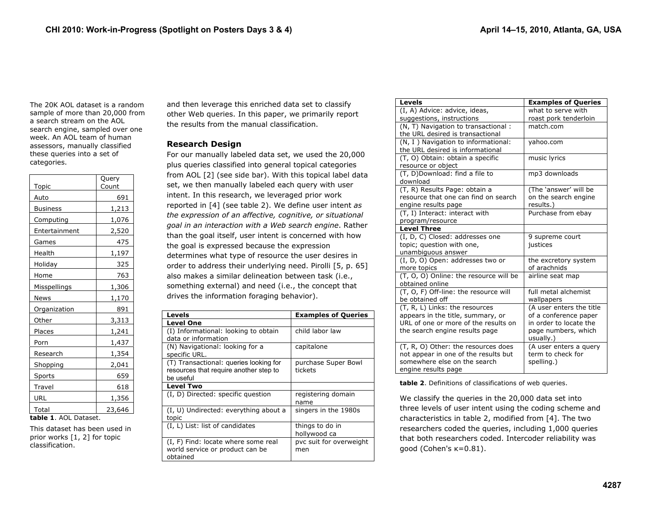The 20K AOL dataset is a random sample of more than 20,000 from a search stream on the AOL search engine, sampled over one week. An AOL team of human assessors, manually classified these queries into a set of categories.

| <b>Topic</b>                                                 | Query<br>Count |
|--------------------------------------------------------------|----------------|
| Auto                                                         | 691            |
|                                                              |                |
| <b>Business</b>                                              | 1,213          |
| Computing                                                    | 1,076          |
| Entertainment                                                | 2,520          |
| Games                                                        | 475            |
| Health                                                       | 1,197          |
| Holiday                                                      | 325            |
| Home                                                         | 763            |
| Misspellings                                                 | 1,306          |
| News                                                         | 1,170          |
| Organization                                                 | 891            |
| Other                                                        | 3,313          |
| Places                                                       | 1,241          |
| Porn                                                         | 1,437          |
| Research                                                     | 1,354          |
| Shopping                                                     | 2,041          |
| Sports                                                       | 659            |
| Travel                                                       | 618            |
| URL                                                          | 1,356          |
| Total<br>$\Lambda$ $\Omega$ $D$ <sub>atas</sub><br>-41<br>ы. | 23,646<br>Ł.   |

**table 1**. AOL Dataset.

This dataset has been used in prior works [1, 2] for topic classification.

and then leverage this enriched data set to classify other Web queries. In this paper, we primarily report the results from the manual classification.

## **Research Design**

For our manually labeled data set, we used the 20,000 plus queries classified into general topical categories from AOL [2] (see side bar). With this topical label data set, we then manually labeled each query with user intent. In this research, we leveraged prior work reported in [4] (see table 2). We define user intent *as the expression of an affective, cognitive, or situational goal in an interaction with a Web search engine*. Rather than the goal itself, user intent is concerned with how the goal is expressed because the expression determines what type of resource the user desires in order to address their underlying need. Pirolli [5, p. 65] also makes a similar delineation between task (i.e., something external) and need (i.e., the concept that drives the information foraging behavior).

| <b>Levels</b>                                    | <b>Examples of Queries</b> |  |  |  |
|--------------------------------------------------|----------------------------|--|--|--|
| <b>Level One</b>                                 |                            |  |  |  |
| (I) Informational: looking to obtain             | child labor law            |  |  |  |
| data or information                              |                            |  |  |  |
| (N) Navigational: looking for a<br>specific URL. | capitalone                 |  |  |  |
| (T) Transactional: queries looking for           | purchase Super Bowl        |  |  |  |
| resources that require another step to           | tickets                    |  |  |  |
| be useful                                        |                            |  |  |  |
| Level Two                                        |                            |  |  |  |
| (I, D) Directed: specific question               | registering domain         |  |  |  |
|                                                  | name                       |  |  |  |
| (I, U) Undirected: everything about a            | singers in the 1980s       |  |  |  |
| topic                                            |                            |  |  |  |
| (I, L) List: list of candidates                  | things to do in            |  |  |  |
|                                                  | hollywood ca               |  |  |  |
| (I, F) Find: locate where some real              | pvc suit for overweight    |  |  |  |
| world service or product can be                  | men                        |  |  |  |
| obtained                                         |                            |  |  |  |

| <b>Levels</b>                          | <b>Examples of Queries</b>       |  |  |  |  |
|----------------------------------------|----------------------------------|--|--|--|--|
| (I, A) Advice: advice, ideas,          | what to serve with               |  |  |  |  |
| suggestions, instructions              | roast pork tenderloin            |  |  |  |  |
| (N, T) Navigation to transactional :   | match.com                        |  |  |  |  |
| the URL desired is transactional       |                                  |  |  |  |  |
| (N, I) Navigation to informational:    | yahoo.com                        |  |  |  |  |
| the URL desired is informational       |                                  |  |  |  |  |
| (T, O) Obtain: obtain a specific       | music lyrics                     |  |  |  |  |
| resource or object                     |                                  |  |  |  |  |
| (T, D)Download: find a file to         | mp3 downloads                    |  |  |  |  |
| download                               |                                  |  |  |  |  |
| (T, R) Results Page: obtain a          | (The 'answer' will be            |  |  |  |  |
| resource that one can find on search   | on the search engine             |  |  |  |  |
| engine results page                    | results.)                        |  |  |  |  |
| (T, I) Interact: interact with         | Purchase from ebay               |  |  |  |  |
| program/resource                       |                                  |  |  |  |  |
| <b>Level Three</b>                     |                                  |  |  |  |  |
| (I, D, C) Closed: addresses one        | 9 supreme court                  |  |  |  |  |
| topic; question with one,              | justices                         |  |  |  |  |
| unambiguous answer                     |                                  |  |  |  |  |
| (I, D, O) Open: addresses two or       | the excretory system             |  |  |  |  |
| more topics                            | of arachnids                     |  |  |  |  |
| (T, O, O) Online: the resource will be | airline seat map                 |  |  |  |  |
| obtained online                        |                                  |  |  |  |  |
| (T, O, F) Off-line: the resource will  | full metal alchemist             |  |  |  |  |
| be obtained off                        | wallpapers                       |  |  |  |  |
| (T, R, L) Links: the resources         | (A user enters the title         |  |  |  |  |
| appears in the title, summary, or      | of a conference paper            |  |  |  |  |
| URL of one or more of the results on   | in order to locate the           |  |  |  |  |
| the search engine results page         | page numbers, which<br>usually.) |  |  |  |  |
| $(T, R, O)$ Other: the resources does  | (A user enters a query           |  |  |  |  |
| not appear in one of the results but   | term to check for                |  |  |  |  |
| somewhere else on the search           | spelling.)                       |  |  |  |  |
| engine results page                    |                                  |  |  |  |  |

**table 2**. Definitions of classifications of web queries.

We classify the queries in the 20,000 data set into three levels of user intent using the coding scheme and characteristics in table 2, modified from [4]. The two researchers coded the queries, including 1,000 queries that both researchers coded. Intercoder reliability was good (Cohen's κ=0.81).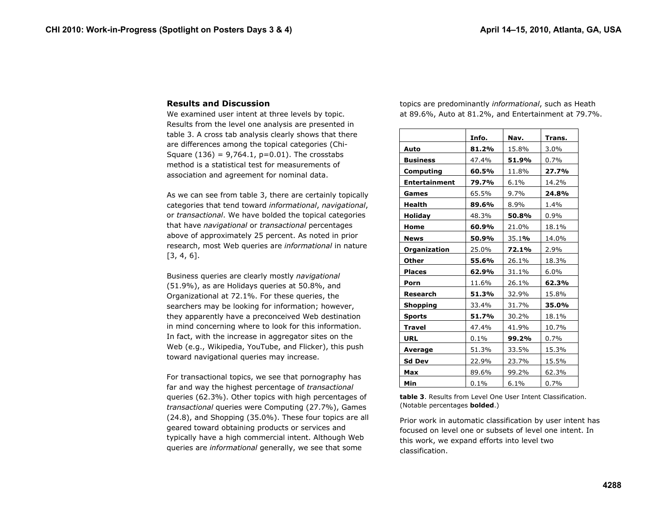### **Results and Discussion**

We examined user intent at three levels by topic. Results from the level one analysis are presented in table 3. A cross tab analysis clearly shows that there are differences among the topical categories (Chi-Square  $(136) = 9,764.1, p=0.01$ . The crosstabs method is a statistical test for measurements of association and agreement for nominal data.

As we can see from table 3, there are certainly topically categories that tend toward *informational*, *navigational*, or *transactional*. We have bolded the topical categories that have *navigational* or *transactional* percentages above of approximately 25 percent. As noted in prior research, most Web queries are *informational* in nature [3, 4, 6].

Business queries are clearly mostly *navigational* (51.9%), as are Holidays queries at 50.8%, and Organizational at 72.1%. For these queries, the searchers may be looking for information; however, they apparently have a preconceived Web destination in mind concerning where to look for this information. In fact, with the increase in aggregator sites on the Web (e.g., Wikipedia, YouTube, and Flicker), this push toward navigational queries may increase.

For transactional topics, we see that pornography has far and way the highest percentage of *transactional* queries (62.3%). Other topics with high percentages of *transactional* queries were Computing (27.7%), Games (24.8), and Shopping (35.0%). These four topics are all geared toward obtaining products or services and typically have a high commercial intent. Although Web queries are *informational* generally, we see that some

topics are predominantly *informational*, such as Heath at 89.6%, Auto at 81.2%, and Entertainment at 79.7%.

|                      | Info. | Nav.  | Trans.  |
|----------------------|-------|-------|---------|
| Auto                 | 81.2% | 15.8% | 3.0%    |
| <b>Business</b>      | 47.4% | 51.9% | $0.7\%$ |
| Computing            | 60.5% | 11.8% | 27.7%   |
| <b>Entertainment</b> | 79.7% | 6.1%  | 14.2%   |
| Games                | 65.5% | 9.7%  | 24.8%   |
| <b>Health</b>        | 89.6% | 8.9%  | 1.4%    |
| <b>Holiday</b>       | 48.3% | 50.8% | 0.9%    |
| Home                 | 60.9% | 21.0% | 18.1%   |
| <b>News</b>          | 50.9% | 35.1% | 14.0%   |
| Organization         | 25.0% | 72.1% | 2.9%    |
| Other                | 55.6% | 26.1% | 18.3%   |
| <b>Places</b>        | 62.9% | 31.1% | 6.0%    |
| Porn                 | 11.6% | 26.1% | 62.3%   |
| Research             | 51.3% | 32.9% | 15.8%   |
| <b>Shopping</b>      | 33.4% | 31.7% | 35.0%   |
| <b>Sports</b>        | 51.7% | 30.2% | 18.1%   |
| Travel               | 47.4% | 41.9% | 10.7%   |
| <b>URL</b>           | 0.1%  | 99.2% | 0.7%    |
| Average              | 51.3% | 33.5% | 15.3%   |
| <b>Sd Dev</b>        | 22.9% | 23.7% | 15.5%   |
| Max                  | 89.6% | 99.2% | 62.3%   |
| Min                  | 0.1%  | 6.1%  | 0.7%    |

**table 3**. Results from Level One User Intent Classification. (Notable percentages **bolded**.)

Prior work in automatic classification by user intent has focused on level one or subsets of level one intent. In this work, we expand efforts into level two classification.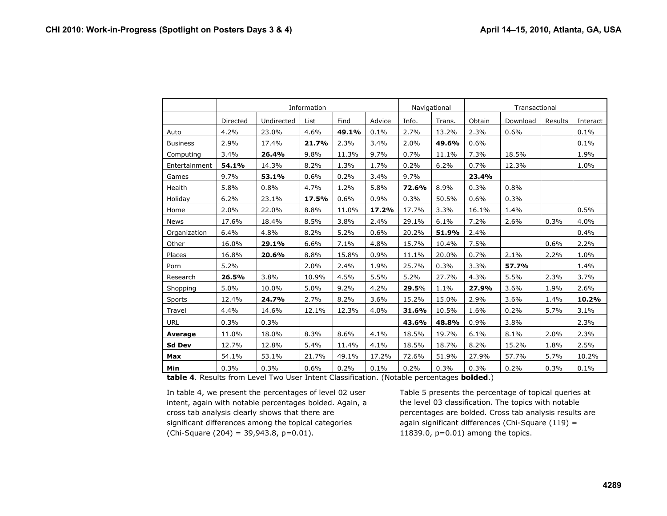|                 | Information |            |       |       |        | Navigational |        | Transactional |          |         |          |
|-----------------|-------------|------------|-------|-------|--------|--------------|--------|---------------|----------|---------|----------|
|                 | Directed    | Undirected | List  | Find  | Advice | Info.        | Trans. | Obtain        | Download | Results | Interact |
| Auto            | 4.2%        | 23.0%      | 4.6%  | 49.1% | 0.1%   | 2.7%         | 13.2%  | 2.3%          | 0.6%     |         | 0.1%     |
| <b>Business</b> | 2.9%        | 17.4%      | 21.7% | 2.3%  | 3.4%   | 2.0%         | 49.6%  | 0.6%          |          |         | 0.1%     |
| Computing       | 3.4%        | 26.4%      | 9.8%  | 11.3% | 9.7%   | 0.7%         | 11.1%  | 7.3%          | 18.5%    |         | 1.9%     |
| Entertainment   | 54.1%       | 14.3%      | 8.2%  | 1.3%  | 1.7%   | 0.2%         | 6.2%   | 0.7%          | 12.3%    |         | 1.0%     |
| Games           | 9.7%        | 53.1%      | 0.6%  | 0.2%  | 3.4%   | 9.7%         |        | 23.4%         |          |         |          |
| Health          | 5.8%        | 0.8%       | 4.7%  | 1.2%  | 5.8%   | 72.6%        | 8.9%   | 0.3%          | 0.8%     |         |          |
| Holiday         | 6.2%        | 23.1%      | 17.5% | 0.6%  | 0.9%   | 0.3%         | 50.5%  | 0.6%          | 0.3%     |         |          |
| Home            | 2.0%        | 22.0%      | 8.8%  | 11.0% | 17.2%  | 17.7%        | 3.3%   | 16.1%         | 1.4%     |         | 0.5%     |
| <b>News</b>     | 17.6%       | 18.4%      | 8.5%  | 3.8%  | 2.4%   | 29.1%        | 6.1%   | 7.2%          | 2.6%     | 0.3%    | 4.0%     |
| Organization    | 6.4%        | 4.8%       | 8.2%  | 5.2%  | 0.6%   | 20.2%        | 51.9%  | 2.4%          |          |         | 0.4%     |
| Other           | 16.0%       | 29.1%      | 6.6%  | 7.1%  | 4.8%   | 15.7%        | 10.4%  | 7.5%          |          | 0.6%    | 2.2%     |
| Places          | 16.8%       | 20.6%      | 8.8%  | 15.8% | 0.9%   | 11.1%        | 20.0%  | 0.7%          | 2.1%     | 2.2%    | 1.0%     |
| Porn            | 5.2%        |            | 2.0%  | 2.4%  | 1.9%   | 25.7%        | 0.3%   | 3.3%          | 57.7%    |         | 1.4%     |
| Research        | 26.5%       | 3.8%       | 10.9% | 4.5%  | 5.5%   | 5.2%         | 27.7%  | 4.3%          | 5.5%     | 2.3%    | 3.7%     |
| Shopping        | 5.0%        | 10.0%      | 5.0%  | 9.2%  | 4.2%   | 29.5%        | 1.1%   | 27.9%         | 3.6%     | 1.9%    | 2.6%     |
| Sports          | 12.4%       | 24.7%      | 2.7%  | 8.2%  | 3.6%   | 15.2%        | 15.0%  | 2.9%          | 3.6%     | 1.4%    | 10.2%    |
| Travel          | 4.4%        | 14.6%      | 12.1% | 12.3% | 4.0%   | 31.6%        | 10.5%  | 1.6%          | 0.2%     | 5.7%    | 3.1%     |
| <b>URL</b>      | 0.3%        | 0.3%       |       |       |        | 43.6%        | 48.8%  | 0.9%          | 3.8%     |         | 2.3%     |
| Average         | 11.0%       | 18.0%      | 8.3%  | 8.6%  | 4.1%   | 18.5%        | 19.7%  | 6.1%          | 8.1%     | 2.0%    | 2.3%     |
| <b>Sd Dev</b>   | 12.7%       | 12.8%      | 5.4%  | 11.4% | 4.1%   | 18.5%        | 18.7%  | 8.2%          | 15.2%    | 1.8%    | 2.5%     |
| Max             | 54.1%       | 53.1%      | 21.7% | 49.1% | 17.2%  | 72.6%        | 51.9%  | 27.9%         | 57.7%    | 5.7%    | 10.2%    |
| Min             | 0.3%        | 0.3%       | 0.6%  | 0.2%  | 0.1%   | 0.2%         | 0.3%   | 0.3%          | 0.2%     | 0.3%    | 0.1%     |

**table 4**. Results from Level Two User Intent Classification. (Notable percentages **bolded**.)

In table 4, we present the percentages of level 02 user intent, again with notable percentages bolded. Again, a cross tab analysis clearly shows that there are significant differences among the topical categories  $(Chi-Square (204) = 39,943.8, p=0.01).$ 

Table 5 presents the percentage of topical queries at the level 03 classification. The topics with notable percentages are bolded. Cross tab analysis results are again significant differences (Chi-Square (119) = 11839.0, p=0.01) among the topics.